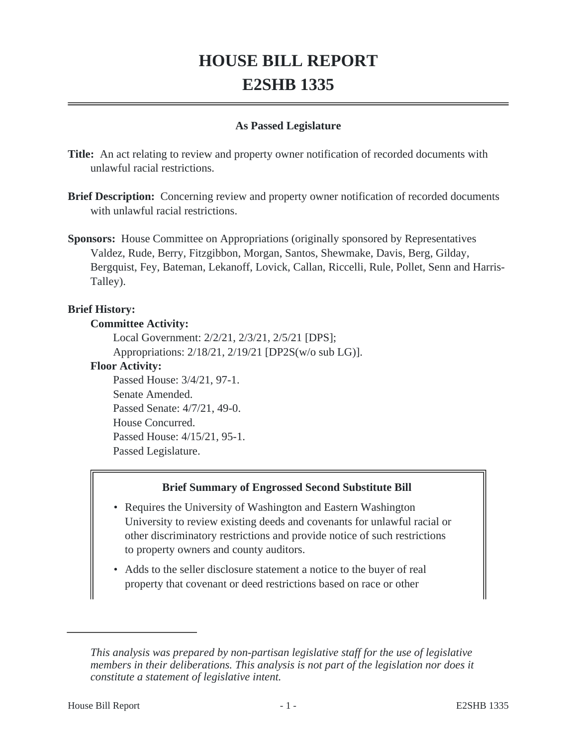# **HOUSE BILL REPORT E2SHB 1335**

## **As Passed Legislature**

**Title:** An act relating to review and property owner notification of recorded documents with unlawful racial restrictions.

**Brief Description:** Concerning review and property owner notification of recorded documents with unlawful racial restrictions.

**Sponsors:** House Committee on Appropriations (originally sponsored by Representatives Valdez, Rude, Berry, Fitzgibbon, Morgan, Santos, Shewmake, Davis, Berg, Gilday, Bergquist, Fey, Bateman, Lekanoff, Lovick, Callan, Riccelli, Rule, Pollet, Senn and Harris-Talley).

## **Brief History:**

#### **Committee Activity:**

Local Government: 2/2/21, 2/3/21, 2/5/21 [DPS]; Appropriations: 2/18/21, 2/19/21 [DP2S(w/o sub LG)].

#### **Floor Activity:**

Passed House: 3/4/21, 97-1. Senate Amended. Passed Senate: 4/7/21, 49-0. House Concurred. Passed House: 4/15/21, 95-1. Passed Legislature.

#### **Brief Summary of Engrossed Second Substitute Bill**

- Requires the University of Washington and Eastern Washington University to review existing deeds and covenants for unlawful racial or other discriminatory restrictions and provide notice of such restrictions to property owners and county auditors.
- Adds to the seller disclosure statement a notice to the buyer of real property that covenant or deed restrictions based on race or other

*This analysis was prepared by non-partisan legislative staff for the use of legislative members in their deliberations. This analysis is not part of the legislation nor does it constitute a statement of legislative intent.*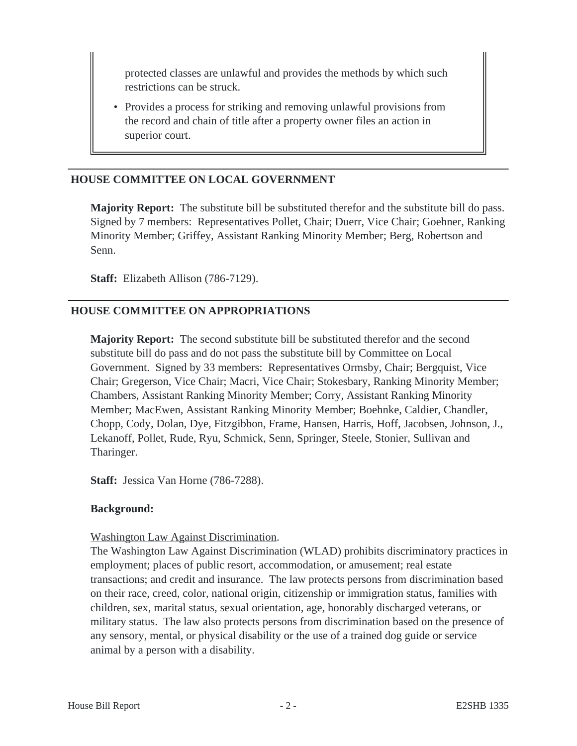protected classes are unlawful and provides the methods by which such restrictions can be struck.

• Provides a process for striking and removing unlawful provisions from the record and chain of title after a property owner files an action in superior court.

# **HOUSE COMMITTEE ON LOCAL GOVERNMENT**

**Majority Report:** The substitute bill be substituted therefor and the substitute bill do pass. Signed by 7 members: Representatives Pollet, Chair; Duerr, Vice Chair; Goehner, Ranking Minority Member; Griffey, Assistant Ranking Minority Member; Berg, Robertson and Senn.

**Staff:** Elizabeth Allison (786-7129).

# **HOUSE COMMITTEE ON APPROPRIATIONS**

**Majority Report:** The second substitute bill be substituted therefor and the second substitute bill do pass and do not pass the substitute bill by Committee on Local Government. Signed by 33 members: Representatives Ormsby, Chair; Bergquist, Vice Chair; Gregerson, Vice Chair; Macri, Vice Chair; Stokesbary, Ranking Minority Member; Chambers, Assistant Ranking Minority Member; Corry, Assistant Ranking Minority Member; MacEwen, Assistant Ranking Minority Member; Boehnke, Caldier, Chandler, Chopp, Cody, Dolan, Dye, Fitzgibbon, Frame, Hansen, Harris, Hoff, Jacobsen, Johnson, J., Lekanoff, Pollet, Rude, Ryu, Schmick, Senn, Springer, Steele, Stonier, Sullivan and Tharinger.

**Staff:** Jessica Van Horne (786-7288).

#### **Background:**

#### Washington Law Against Discrimination.

The Washington Law Against Discrimination (WLAD) prohibits discriminatory practices in employment; places of public resort, accommodation, or amusement; real estate transactions; and credit and insurance. The law protects persons from discrimination based on their race, creed, color, national origin, citizenship or immigration status, families with children, sex, marital status, sexual orientation, age, honorably discharged veterans, or military status. The law also protects persons from discrimination based on the presence of any sensory, mental, or physical disability or the use of a trained dog guide or service animal by a person with a disability.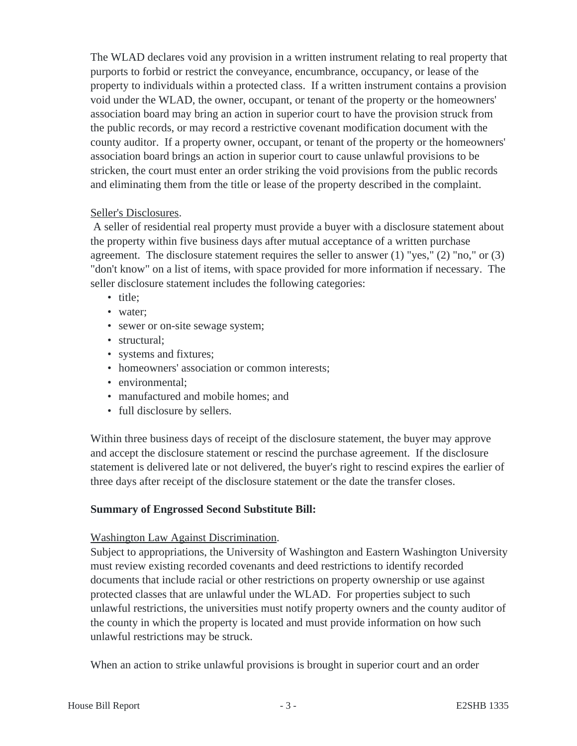The WLAD declares void any provision in a written instrument relating to real property that purports to forbid or restrict the conveyance, encumbrance, occupancy, or lease of the property to individuals within a protected class. If a written instrument contains a provision void under the WLAD, the owner, occupant, or tenant of the property or the homeowners' association board may bring an action in superior court to have the provision struck from the public records, or may record a restrictive covenant modification document with the county auditor. If a property owner, occupant, or tenant of the property or the homeowners' association board brings an action in superior court to cause unlawful provisions to be stricken, the court must enter an order striking the void provisions from the public records and eliminating them from the title or lease of the property described in the complaint.

## Seller's Disclosures.

 A seller of residential real property must provide a buyer with a disclosure statement about the property within five business days after mutual acceptance of a written purchase agreement. The disclosure statement requires the seller to answer  $(1)$  "yes,"  $(2)$  "no," or  $(3)$ "don't know" on a list of items, with space provided for more information if necessary. The seller disclosure statement includes the following categories:

- title;
- water;
- sewer or on-site sewage system;
- structural;
- systems and fixtures;
- homeowners' association or common interests;
- environmental;
- manufactured and mobile homes; and
- full disclosure by sellers.

Within three business days of receipt of the disclosure statement, the buyer may approve and accept the disclosure statement or rescind the purchase agreement. If the disclosure statement is delivered late or not delivered, the buyer's right to rescind expires the earlier of three days after receipt of the disclosure statement or the date the transfer closes.

# **Summary of Engrossed Second Substitute Bill:**

# Washington Law Against Discrimination.

Subject to appropriations, the University of Washington and Eastern Washington University must review existing recorded covenants and deed restrictions to identify recorded documents that include racial or other restrictions on property ownership or use against protected classes that are unlawful under the WLAD. For properties subject to such unlawful restrictions, the universities must notify property owners and the county auditor of the county in which the property is located and must provide information on how such unlawful restrictions may be struck.

When an action to strike unlawful provisions is brought in superior court and an order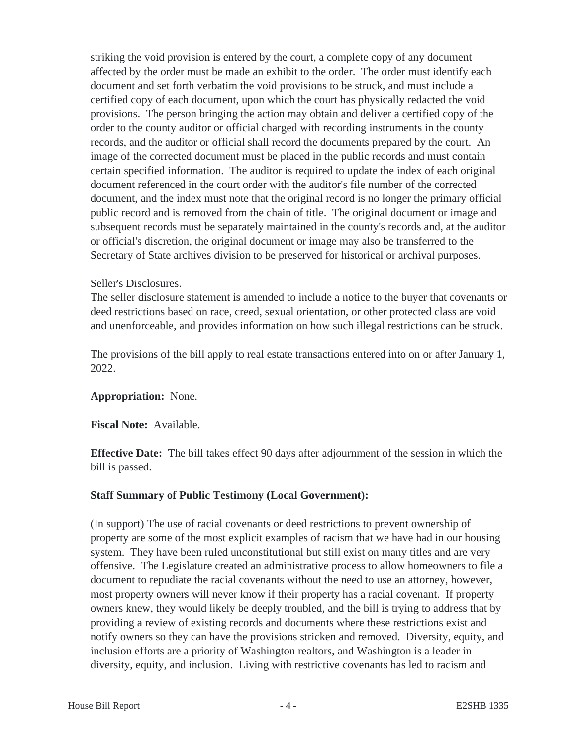striking the void provision is entered by the court, a complete copy of any document affected by the order must be made an exhibit to the order. The order must identify each document and set forth verbatim the void provisions to be struck, and must include a certified copy of each document, upon which the court has physically redacted the void provisions. The person bringing the action may obtain and deliver a certified copy of the order to the county auditor or official charged with recording instruments in the county records, and the auditor or official shall record the documents prepared by the court. An image of the corrected document must be placed in the public records and must contain certain specified information. The auditor is required to update the index of each original document referenced in the court order with the auditor's file number of the corrected document, and the index must note that the original record is no longer the primary official public record and is removed from the chain of title. The original document or image and subsequent records must be separately maintained in the county's records and, at the auditor or official's discretion, the original document or image may also be transferred to the Secretary of State archives division to be preserved for historical or archival purposes.

## Seller's Disclosures.

The seller disclosure statement is amended to include a notice to the buyer that covenants or deed restrictions based on race, creed, sexual orientation, or other protected class are void and unenforceable, and provides information on how such illegal restrictions can be struck.

The provisions of the bill apply to real estate transactions entered into on or after January 1, 2022.

#### **Appropriation:** None.

**Fiscal Note:** Available.

**Effective Date:** The bill takes effect 90 days after adjournment of the session in which the bill is passed.

# **Staff Summary of Public Testimony (Local Government):**

(In support) The use of racial covenants or deed restrictions to prevent ownership of property are some of the most explicit examples of racism that we have had in our housing system. They have been ruled unconstitutional but still exist on many titles and are very offensive. The Legislature created an administrative process to allow homeowners to file a document to repudiate the racial covenants without the need to use an attorney, however, most property owners will never know if their property has a racial covenant. If property owners knew, they would likely be deeply troubled, and the bill is trying to address that by providing a review of existing records and documents where these restrictions exist and notify owners so they can have the provisions stricken and removed. Diversity, equity, and inclusion efforts are a priority of Washington realtors, and Washington is a leader in diversity, equity, and inclusion. Living with restrictive covenants has led to racism and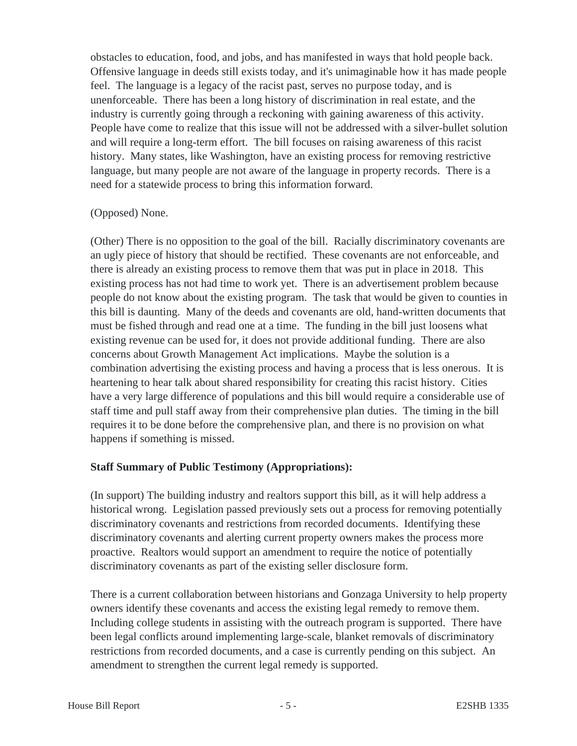obstacles to education, food, and jobs, and has manifested in ways that hold people back. Offensive language in deeds still exists today, and it's unimaginable how it has made people feel. The language is a legacy of the racist past, serves no purpose today, and is unenforceable. There has been a long history of discrimination in real estate, and the industry is currently going through a reckoning with gaining awareness of this activity. People have come to realize that this issue will not be addressed with a silver-bullet solution and will require a long-term effort. The bill focuses on raising awareness of this racist history. Many states, like Washington, have an existing process for removing restrictive language, but many people are not aware of the language in property records. There is a need for a statewide process to bring this information forward.

## (Opposed) None.

(Other) There is no opposition to the goal of the bill. Racially discriminatory covenants are an ugly piece of history that should be rectified. These covenants are not enforceable, and there is already an existing process to remove them that was put in place in 2018. This existing process has not had time to work yet. There is an advertisement problem because people do not know about the existing program. The task that would be given to counties in this bill is daunting. Many of the deeds and covenants are old, hand-written documents that must be fished through and read one at a time. The funding in the bill just loosens what existing revenue can be used for, it does not provide additional funding. There are also concerns about Growth Management Act implications. Maybe the solution is a combination advertising the existing process and having a process that is less onerous. It is heartening to hear talk about shared responsibility for creating this racist history. Cities have a very large difference of populations and this bill would require a considerable use of staff time and pull staff away from their comprehensive plan duties. The timing in the bill requires it to be done before the comprehensive plan, and there is no provision on what happens if something is missed.

# **Staff Summary of Public Testimony (Appropriations):**

(In support) The building industry and realtors support this bill, as it will help address a historical wrong. Legislation passed previously sets out a process for removing potentially discriminatory covenants and restrictions from recorded documents. Identifying these discriminatory covenants and alerting current property owners makes the process more proactive. Realtors would support an amendment to require the notice of potentially discriminatory covenants as part of the existing seller disclosure form.

There is a current collaboration between historians and Gonzaga University to help property owners identify these covenants and access the existing legal remedy to remove them. Including college students in assisting with the outreach program is supported. There have been legal conflicts around implementing large-scale, blanket removals of discriminatory restrictions from recorded documents, and a case is currently pending on this subject. An amendment to strengthen the current legal remedy is supported.